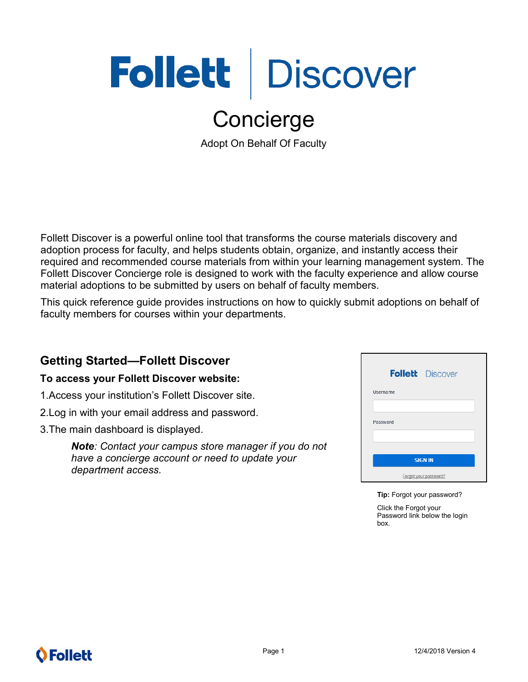# Follett Discover

## Concierge

Adopt On Behalf Of Faculty

Follett Discover is a powerful online tool that transforms the course materials discovery and adoption process for faculty, and helps students obtain, organize, and instantly access their required and recommended course materials from within your learning management system. The Follett Discover Concierge role is designed to work with the faculty experience and allow course material adoptions to be submitted by users on behalf of faculty members.

This quick reference guide provides instructions on how to quickly submit adoptions on behalf of faculty members for courses within your departments.

## **Getting Started—Follett Discover**

#### **To access your Follett Discover website:**

- 1.Access your institution's Follett Discover site.
- 2.Log in with your email address and password.
- 3.The main dashboard is displayed.

*Note: Contact your campus store manager if you do not have a concierge account or need to update your department access.*

|                | <b>Follett</b> Discover |  |
|----------------|-------------------------|--|
| Username       |                         |  |
| Password       |                         |  |
|                |                         |  |
| <b>SIGN IN</b> |                         |  |
|                | Forgot your password?   |  |

**Tip:** Forgot your password?

Click the Forgot your Password link below the login box.

## **O** Follett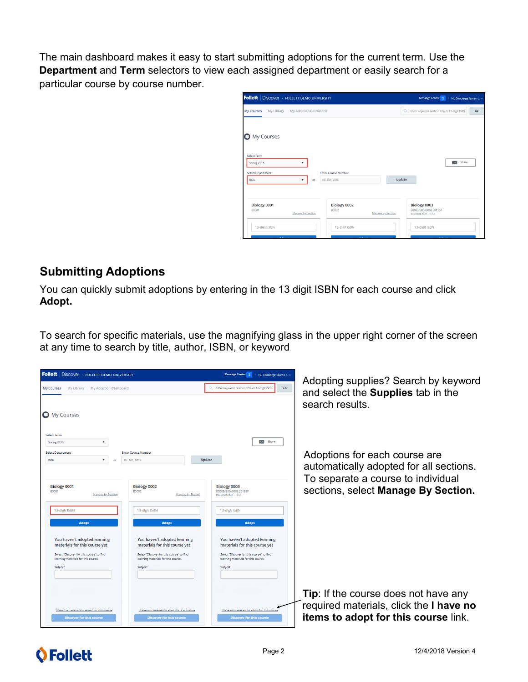The main dashboard makes it easy to start submitting adoptions for the current term. Use the **Department** and **Term** selectors to view each assigned department or easily search for a particular course by course number.

| <b>Follett</b>   Discover · FOLLETT DEMO UNIVERSITY      |                                                          | Message Center <sup>2</sup><br>$\blacksquare$ Hi, Concierge lauren c. $\vee$ |
|----------------------------------------------------------|----------------------------------------------------------|------------------------------------------------------------------------------|
| My Library<br><b>My Courses</b>                          | My Adoption Dashboard                                    | $\alpha$<br>Enter keyword, author, title or 13-digit ISBN<br>Go              |
| <b>O</b> My Courses<br><b>Select Term</b>                |                                                          |                                                                              |
| Spring 2015<br><b>Select Department</b><br><b>BIOL</b>   | <b>Enter Course Number</b><br>Ex. 101, 201L<br>or        | Share<br>$\approx$<br>Update                                                 |
| Biology 0001<br><b>B0001</b><br><b>Manage by Section</b> | Biology 0002<br><b>B0002</b><br><b>Manage by Section</b> | Biology 0003<br>B0003/BIOA0003.2015SP<br><b>INSTRUCTOR: TEST</b>             |
| 13-digit ISBN                                            | 13-digit ISBN                                            | 13-digit ISBN                                                                |

#### **Submitting Adoptions**

You can quickly submit adoptions by entering in the 13 digit ISBN for each course and click **Adopt.**

To search for specific materials, use the magnifying glass in the upper right corner of the screen at any time to search by title, author, ISBN, or keyword



## **O**Follett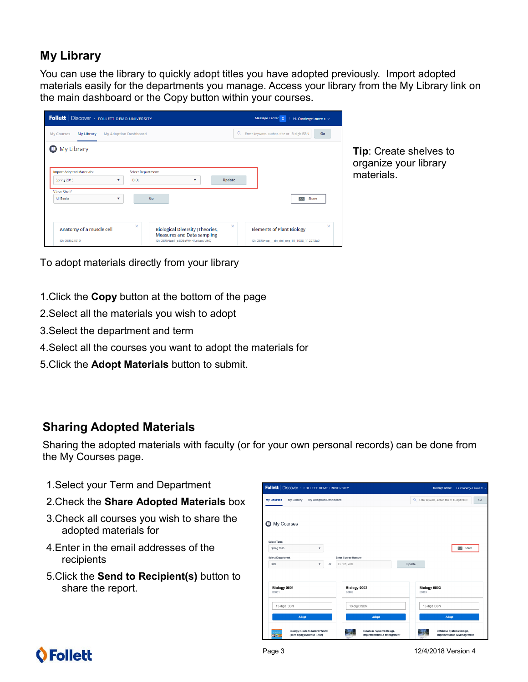## **My Library**

You can use the library to quickly adopt titles you have adopted previously. Import adopted materials easily for the departments you manage. Access your library from the My Library link on the main dashboard or the Copy button within your courses.

| <b>Follett</b> Discover FOLLETT DEMO UNIVERSITY                 | Message Center 2<br>Hi, Concierge lauren c. $\vee$                               |                                                                 |
|-----------------------------------------------------------------|----------------------------------------------------------------------------------|-----------------------------------------------------------------|
| <b>My Courses</b><br>My Library<br><b>My Adoption Dashboard</b> |                                                                                  | $\alpha$<br>Enter keyword, author, title or 13-digit ISBN<br>Go |
| My Library<br>o                                                 |                                                                                  |                                                                 |
| <b>Import Adopted Materials:</b>                                | <b>Select Department:</b>                                                        |                                                                 |
| <b>BIOL</b><br>Spring 2015<br>▼                                 | <b>Update</b><br>v                                                               |                                                                 |
| <b>View Shelf</b>                                               |                                                                                  |                                                                 |
| All Books<br>v                                                  | Go                                                                               | Share<br>$\approx$                                              |
|                                                                 |                                                                                  |                                                                 |
| ×<br>Anatomy of a muscle cell                                   | ×<br><b>Biological Diversity (Theories,</b><br><b>Measures and Data sampling</b> | ×<br><b>Elements of Plant Biology</b>                           |
| ID: OFR:24010                                                   | ID: OER:Nap1_eB0EeWHHAokaxVUhQ                                                   | ID: OER:http dx doi org 10 1038 112273a0                        |

**Tip**: Create shelves to organize your library materials.

To adopt materials directly from your library

- 1.Click the **Copy** button at the bottom of the page
- 2.Select all the materials you wish to adopt
- 3.Select the department and term
- 4.Select all the courses you want to adopt the materials for
- 5.Click the **Adopt Materials** button to submit.

#### **Sharing Adopted Materials**

Sharing the adopted materials with faculty (or for your own personal records) can be done from the My Courses page.

- 1.Select your Term and Department
- 2.Check the **Share Adopted Materials** box
- 3.Check all courses you wish to share the adopted materials for
- 4.Enter in the email addresses of the recipients
- 5.Click the **Send to Recipient(s)** button to share the report.



## **O** Follett

Page 3 12/4/2018 Version 4